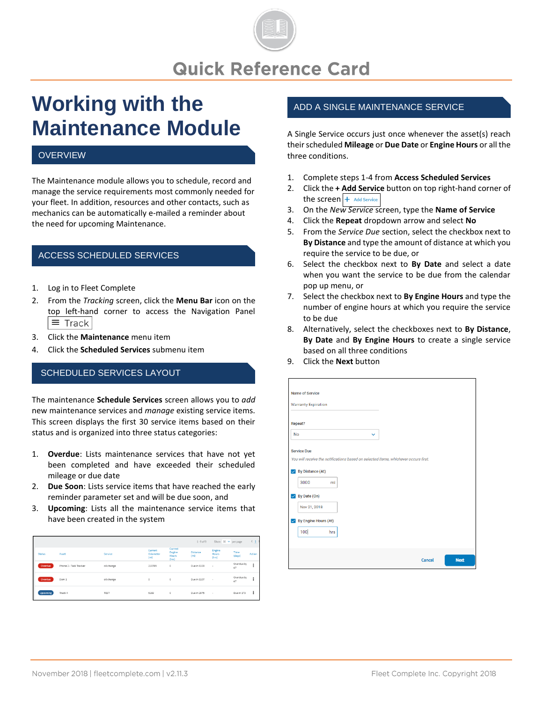# **Quick Reference Card**

# **Working with the Maintenance Module**

# **OVERVIEW**

The Maintenance module allows you to schedule, record and manage the service requirements most commonly needed for your fleet. In addition, resources and other contacts, such as mechanics can be automatically e-mailed a reminder about the need for upcoming Maintenance.

#### ACCESS SCHEDULED SERVICES

- 1. Log in to Fleet Complete
- 2. From the *Tracking* screen, click the **Menu Bar** icon on the top left-hand corner to access the Navigation Panel  $\equiv$  Track
- 3. Click the **Maintenance** menu item
- 4. Click the **Scheduled Services** submenu item

#### SCHEDULED SERVICES LAYOUT

The maintenance **Schedule Services** screen allows you to *add*  new maintenance services and *manage* existing service items. This screen displays the first 30 service items based on their status and is organized into three status categories:

- 1. **Overdue**: Lists maintenance services that have not yet been completed and have exceeded their scheduled mileage or due date
- 2. **Due Soon**: Lists service items that have reached the early reminder parameter set and will be due soon, and
- 3. **Upcoming**: Lists all the maintenance service items that have been created in the system

|                 |                        |             |                             |                                     | $1 - 9 of 9$            | Show $30 \vee$ per page         |                  | $\leftarrow$ 1       |
|-----------------|------------------------|-------------|-----------------------------|-------------------------------------|-------------------------|---------------------------------|------------------|----------------------|
| Status          | Asset                  | Service     | Current<br>Odometer<br>(mi) | Current<br>Engine<br>Hours<br>(hrs) | <b>Distance</b><br>(mi) | Engine<br><b>Hours</b><br>(hrs) | Time<br>(days)   | Action               |
| Overdue         | Phone 2 - Task Tracker | oil change  | 210785                      | $\circ$                             | Due in 3103             | $\sim$                          | Overdue by<br>67 | ÷                    |
| Overdue         | Dom 1                  | oil change  | $\circ$                     | $\circ$                             | Due in 3107             | $\sim$                          | Overdue by<br>67 | $\ddot{\phantom{a}}$ |
| <b>Upcoming</b> | Truck 4                | <b>TEST</b> | 5189                        | $\circ$                             | Due in 2975             | $\sim$                          | Due in 173       | х                    |

### ADD A SINGLE MAINTENANCE SERVICE

A Single Service occurs just once whenever the asset(s) reach their scheduled **Mileage** or **Due Date** or **Engine Hours** or all the three conditions.

- 1. Complete steps 1-4 from **Access Scheduled Services**
- 2. Click the **+ Add Service** button on top right-hand corner of the screen  $+$  Add Service
- 3. On the *New Service* screen, type the **Name of Service**
- 4. Click the **Repeat** dropdown arrow and select **No**
- 5. From the *Service Due* section, select the checkbox next to **By Distance** and type the amount of distance at which you require the service to be due, or
- 6. Select the checkbox next to **By Date** and select a date when you want the service to be due from the calendar pop up menu, or
- 7. Select the checkbox next to **By Engine Hours** and type the number of engine hours at which you require the service to be due
- 8. Alternatively, select the checkboxes next to **By Distance**, **By Date** and **By Engine Hours** to create a single service based on all three conditions
- 9. Click the **Next** button

| <b>Name of Service</b>                                                              |        |             |
|-------------------------------------------------------------------------------------|--------|-------------|
| <b>Warranty Expiration</b>                                                          |        |             |
|                                                                                     |        |             |
| Repeat?                                                                             |        |             |
| <b>No</b><br>v                                                                      |        |             |
|                                                                                     |        |             |
| <b>Service Due</b>                                                                  |        |             |
| You will receive the notifications based on selected items, whichever occurs first. |        |             |
| By Distance (At)<br>▽                                                               |        |             |
| 3000<br>mi                                                                          |        |             |
| By Date (On)<br>✓                                                                   |        |             |
| Nov 21, 2018                                                                        |        |             |
| <b>By Engine Hours (At)</b><br>$\checkmark$                                         |        |             |
| 100<br>hrs                                                                          |        |             |
|                                                                                     |        |             |
|                                                                                     |        |             |
|                                                                                     | Cancel | <b>Next</b> |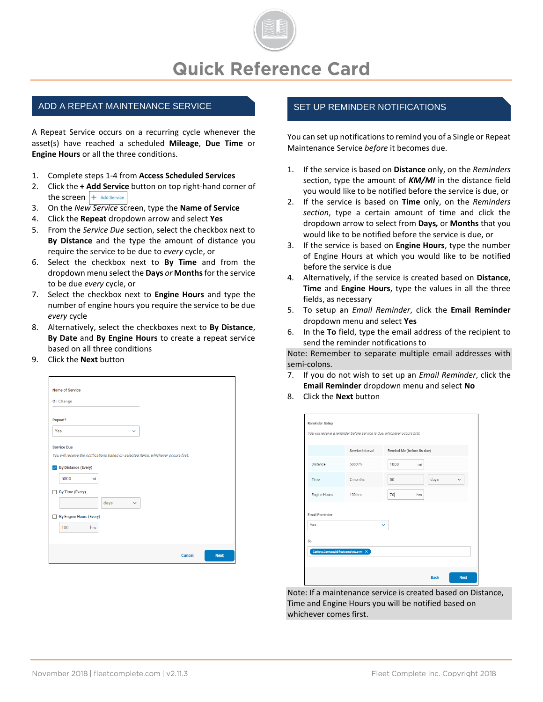

#### ADD A REPEAT MAINTENANCE SERVICE **SET ALL SET UP REMINDER NOTIFICATIONS**

A Repeat Service occurs on a recurring cycle whenever the asset(s) have reached a scheduled **Mileage**, **Due Time** or **Engine Hours** or all the three conditions.

- 1. Complete steps 1-4 from **Access Scheduled Services**
- 2. Click the **+ Add Service** button on top right-hand corner of the screen  $+$  Add Service
- 3. On the *New Service* screen, type the **Name of Service**
- 4. Click the **Repeat** dropdown arrow and select **Yes**
- 5. From the *Service Due* section, select the checkbox next to **By Distance** and the type the amount of distance you require the service to be due to *every* cycle, or
- 6. Select the checkbox next to **By Time** and from the dropdown menu select the **Days** *or* **Months**for the service to be due *every* cycle, or
- 7. Select the checkbox next to **Engine Hours** and type the number of engine hours you require the service to be due *every* cycle
- 8. Alternatively, select the checkboxes next to **By Distance**, **By Date** and **By Engine Hours** to create a repeat service based on all three conditions
- 9. Click the **Next** button

| Name of Service                                                                     |        |             |
|-------------------------------------------------------------------------------------|--------|-------------|
| Oil Change                                                                          |        |             |
|                                                                                     |        |             |
| Repeat?                                                                             |        |             |
| Yes<br>$\checkmark$                                                                 |        |             |
| <b>Service Due</b>                                                                  |        |             |
| You will receive the notifications based on selected items, whichever occurs first. |        |             |
| ✔ By Distance (Every)                                                               |        |             |
| 5000<br>mi                                                                          |        |             |
| <b>By Time (Every)</b><br>H                                                         |        |             |
| days<br>v                                                                           |        |             |
| <b>By Engine Hours (Every)</b>                                                      |        |             |
| 100<br>hrs                                                                          |        |             |
|                                                                                     |        |             |
|                                                                                     | Cancel | <b>Next</b> |

You can set up notifications to remind you of a Single or Repeat Maintenance Service *before* it becomes due.

- 1. If the service is based on **Distance** only, on the *Reminders* section, type the amount of *KM/MI* in the distance field you would like to be notified before the service is due, or
- 2. If the service is based on **Time** only, on the *Reminders section*, type a certain amount of time and click the dropdown arrow to select from **Days***,* or **Months** that you would like to be notified before the service is due, or
- 3. If the service is based on **Engine Hours**, type the number of Engine Hours at which you would like to be notified before the service is due
- 4. Alternatively, if the service is created based on **Distance**, **Time** and **Engine Hours**, type the values in all the three fields, as necessary
- 5. To setup an *Email Reminder*, click the **Email Reminder** dropdown menu and select **Yes**
- 6. In the **To** field, type the email address of the recipient to send the reminder notifications to

Note: Remember to separate multiple email addresses with semi-colons.

- 7. If you do not wish to set up an *Email Reminder*, click the **Email Reminder** dropdown menu and select **No**
- 8. Click the **Next** button

|                       | Service Interval | Remind Me (before its due) |
|-----------------------|------------------|----------------------------|
| Distance              | 5000 mi          | 1000<br>mi                 |
| Time                  | 2 months         | days<br>50<br>$\checkmark$ |
| Engine Hours          | 100 hrs          | 70<br>hrs                  |
| Email Reminder<br>Yes |                  | $\checkmark$               |
| To                    |                  |                            |

Note: If a maintenance service is created based on Distance, Time and Engine Hours you will be notified based on whichever comes first.